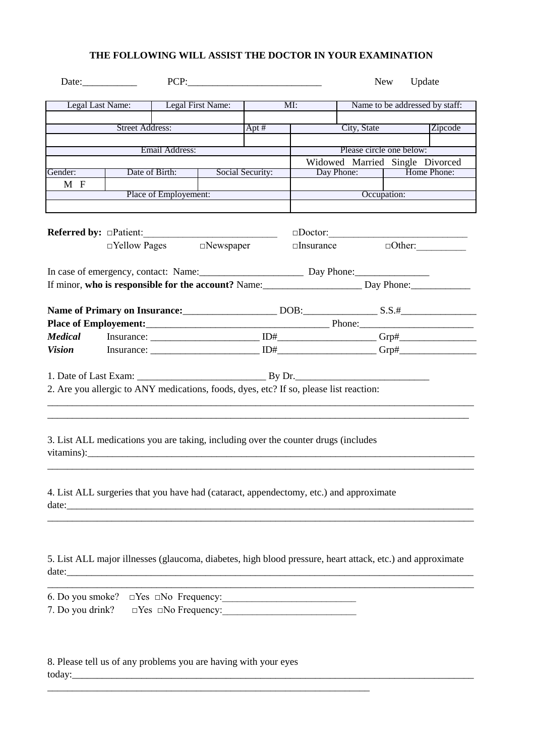## **THE FOLLOWING WILL ASSIST THE DOCTOR IN YOUR EXAMINATION**

|                                                                                                                                                                                                                                                                                                                      |                        |                   |  | PCP:                     |     |                          | New Update                                                                                                             |
|----------------------------------------------------------------------------------------------------------------------------------------------------------------------------------------------------------------------------------------------------------------------------------------------------------------------|------------------------|-------------------|--|--------------------------|-----|--------------------------|------------------------------------------------------------------------------------------------------------------------|
|                                                                                                                                                                                                                                                                                                                      | Legal Last Name:       | Legal First Name: |  |                          | MI: |                          | Name to be addressed by staff:                                                                                         |
|                                                                                                                                                                                                                                                                                                                      | <b>Street Address:</b> |                   |  | Apt#                     |     | City, State              | Zipcode                                                                                                                |
|                                                                                                                                                                                                                                                                                                                      |                        |                   |  |                          |     |                          |                                                                                                                        |
| Email Address:                                                                                                                                                                                                                                                                                                       |                        |                   |  |                          |     | Please circle one below: |                                                                                                                        |
| Gender:                                                                                                                                                                                                                                                                                                              |                        | Date of Birth:    |  |                          |     |                          | Widowed Married Single Divorced<br>Day Phone:   Home Phone:                                                            |
| M F                                                                                                                                                                                                                                                                                                                  |                        |                   |  | Social Security:         |     |                          |                                                                                                                        |
|                                                                                                                                                                                                                                                                                                                      | Place of Employement:  |                   |  |                          |     | Occupation:              |                                                                                                                        |
|                                                                                                                                                                                                                                                                                                                      |                        |                   |  |                          |     |                          |                                                                                                                        |
|                                                                                                                                                                                                                                                                                                                      |                        |                   |  |                          |     |                          |                                                                                                                        |
|                                                                                                                                                                                                                                                                                                                      |                        |                   |  | □Yellow Pages □Newspaper |     |                          | $\Box$ Insurance $\Box$ Other:                                                                                         |
|                                                                                                                                                                                                                                                                                                                      |                        |                   |  |                          |     |                          |                                                                                                                        |
| In case of emergency, contact: Name: Day Phone: Day Phone:                                                                                                                                                                                                                                                           |                        |                   |  |                          |     |                          |                                                                                                                        |
|                                                                                                                                                                                                                                                                                                                      |                        |                   |  |                          |     |                          | If minor, who is responsible for the account? Name: Day Phone: Day Phone:                                              |
|                                                                                                                                                                                                                                                                                                                      |                        |                   |  |                          |     |                          |                                                                                                                        |
|                                                                                                                                                                                                                                                                                                                      |                        |                   |  |                          |     |                          | Name of Primary on Insurance: DOB: S.S.#                                                                               |
|                                                                                                                                                                                                                                                                                                                      |                        |                   |  |                          |     |                          |                                                                                                                        |
|                                                                                                                                                                                                                                                                                                                      |                        |                   |  |                          |     |                          |                                                                                                                        |
|                                                                                                                                                                                                                                                                                                                      |                        |                   |  |                          |     |                          | Vision Insurance: $\Box$ ID# $\Box$ Orp# $\Box$                                                                        |
|                                                                                                                                                                                                                                                                                                                      |                        |                   |  |                          |     |                          |                                                                                                                        |
|                                                                                                                                                                                                                                                                                                                      |                        |                   |  |                          |     |                          |                                                                                                                        |
| 2. Are you allergic to ANY medications, foods, dyes, etc? If so, please list reaction:                                                                                                                                                                                                                               |                        |                   |  |                          |     |                          |                                                                                                                        |
|                                                                                                                                                                                                                                                                                                                      |                        |                   |  |                          |     |                          |                                                                                                                        |
| 3. List ALL medications you are taking, including over the counter drugs (includes<br>vitamins): views and the set of the set of the set of the set of the set of the set of the set of the set of the set of the set of the set of the set of the set of the set of the set of the set of the set of the set of the |                        |                   |  |                          |     |                          |                                                                                                                        |
| 4. List ALL surgeries that you have had (cataract, appendectomy, etc.) and approximate                                                                                                                                                                                                                               |                        |                   |  |                          |     |                          |                                                                                                                        |
|                                                                                                                                                                                                                                                                                                                      |                        |                   |  |                          |     |                          | 5. List ALL major illnesses (glaucoma, diabetes, high blood pressure, heart attack, etc.) and approximate              |
| 7. Do you drink? $\square$ Yes $\square$ No Frequency: ___________________________________                                                                                                                                                                                                                           |                        |                   |  |                          |     |                          | <u> 1989 - Johann Barn, mars ann an t-Amhainn an t-Amhainn an t-Amhainn an t-Amhainn an t-Amhainn an t-Amhainn an </u> |
| 8. Please tell us of any problems you are having with your eyes                                                                                                                                                                                                                                                      |                        |                   |  |                          |     |                          |                                                                                                                        |

\_\_\_\_\_\_\_\_\_\_\_\_\_\_\_\_\_\_\_\_\_\_\_\_\_\_\_\_\_\_\_\_\_\_\_\_\_\_\_\_\_\_\_\_\_\_\_\_\_\_\_\_\_\_\_\_\_\_\_\_\_\_\_\_\_

today:\_\_\_\_\_\_\_\_\_\_\_\_\_\_\_\_\_\_\_\_\_\_\_\_\_\_\_\_\_\_\_\_\_\_\_\_\_\_\_\_\_\_\_\_\_\_\_\_\_\_\_\_\_\_\_\_\_\_\_\_\_\_\_\_\_\_\_\_\_\_\_\_\_\_\_\_\_\_\_\_\_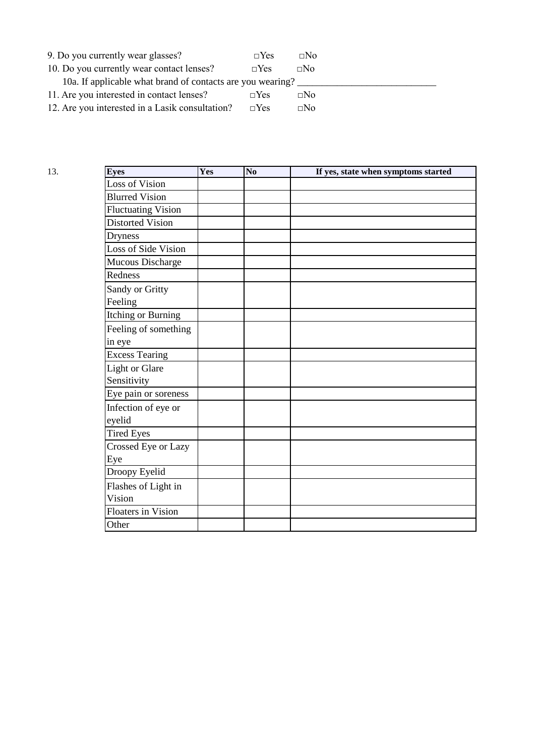| 9. Do you currently wear glasses?                          | $\neg$ Yes | $\Box$ No |  |  |  |  |
|------------------------------------------------------------|------------|-----------|--|--|--|--|
| 10. Do you currently wear contact lenses?                  | $\Box$ Yes | $\Box$ No |  |  |  |  |
| 10a. If applicable what brand of contacts are you wearing? |            |           |  |  |  |  |
| 11. Are you interested in contact lenses?                  | $\neg Yes$ | $\Box$ No |  |  |  |  |
| 12. Are you interested in a Lasik consultation?            | $\neg Yes$ | $\Box$ No |  |  |  |  |

| 13. | <b>Eyes</b>                    | Yes | N <sub>0</sub> | If yes, state when symptoms started |
|-----|--------------------------------|-----|----------------|-------------------------------------|
|     | Loss of Vision                 |     |                |                                     |
|     | <b>Blurred Vision</b>          |     |                |                                     |
|     | <b>Fluctuating Vision</b>      |     |                |                                     |
|     | <b>Distorted Vision</b>        |     |                |                                     |
|     | <b>Dryness</b>                 |     |                |                                     |
|     | Loss of Side Vision            |     |                |                                     |
|     | Mucous Discharge               |     |                |                                     |
|     | Redness                        |     |                |                                     |
|     | Sandy or Gritty<br>Feeling     |     |                |                                     |
|     | <b>Itching or Burning</b>      |     |                |                                     |
|     | Feeling of something<br>in eye |     |                |                                     |
|     | <b>Excess Tearing</b>          |     |                |                                     |
|     | <b>Light or Glare</b>          |     |                |                                     |
|     | Sensitivity                    |     |                |                                     |
|     | Eye pain or soreness           |     |                |                                     |
|     | Infection of eye or<br>eyelid  |     |                |                                     |
|     | <b>Tired Eyes</b>              |     |                |                                     |
|     | Crossed Eye or Lazy<br>Eye     |     |                |                                     |
|     | Droopy Eyelid                  |     |                |                                     |
|     | Flashes of Light in<br>Vision  |     |                |                                     |
|     | <b>Floaters in Vision</b>      |     |                |                                     |
|     | Other                          |     |                |                                     |
|     |                                |     |                |                                     |